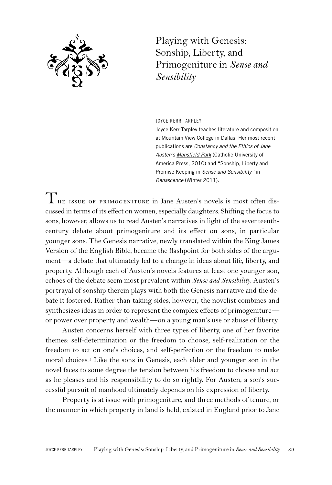

Playing with Genesis: Sonship, Liberty, and Primogeniture in *Sense and Sensibility*

JOYCE KERR TARPLEY

Joyce Kerr Tarpley teaches literature and composition at Mountain View College in Dallas. Her most recent publications are *Constancy and the Ethics of Jane Austen's Mansfield Park* (Catholic University of America Press, 2010) and "Sonship, Liberty and Promise Keeping in *Sense and Sensibility"* in *Renascence* (Winter 2011).

 $\prod$  HE ISSUE OF PRIMOGENITURE in Jane Austen's novels is most often discussed in terms of its effect on women, especially daughters. Shifting the focusto sons, however, allows us to read Austen's narratives in light of the seventeenthcentury debate about primogeniture and its effect on sons, in particular younger sons. The Genesis narrative, newly translated within the King James Version of the English Bible, became the flashpoint for both sides of the argument—a debate that ultimately led to a change in ideas about life, liberty, and property. Although each of Austen's novels features at least one younger son, echoes of the debate seem most prevalent within *Sense and Sensibility*. Austen's portrayal of sonship therein plays with both the Genesis narrative and the debate it fostered. Rather than taking sides, however, the novelist combines and synthesizes ideas in order to represent the complex effects of primogeniture or power over property and wealth—on a young man's use or abuse of liberty.

Austen concerns herself with three types of liberty, one of her favorite themes: self-determination or the freedom to choose, self-realization or the freedom to act on one's choices, and self-perfection or the freedom to make moral choices. <sup>1</sup> Like the sons in Genesis, each elder and younger son in the novel faces to some degree the tension between his freedom to choose and act as he pleases and his responsibility to do so rightly. For Austen, a son's successful pursuit of manhood ultimately depends on his expression of liberty.

Property is at issue with primogeniture, and three methods of tenure, or the manner in which property in land is held, existed in England prior to Jane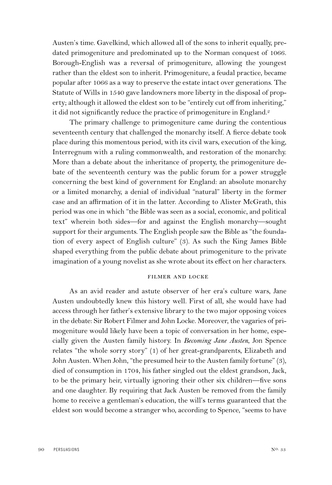Austen's time. Gavelkind, which allowed all of the sons to inherit equally, predated primogeniture and predominated up to the Norman conquest of 1066. Borough-English was a reversal of primogeniture, allowing the youngest rather than the eldest son to inherit. Primogeniture, a feudal practice, became popular after 1066 as a way to preserve the estate intact over generations. The Statute of Wills in 1540 gave landowners more liberty in the disposal of property; although it allowed the eldest son to be "entirely cut off from inheriting," it did not significantly reduce the practice of primogeniture in England. 2

The primary challenge to primogeniture came during the contentious seventeenth century that challenged the monarchy itself. A fierce debate took place during this momentous period, with its civil wars, execution of the king, Interregnum with a ruling commonwealth, and restoration of the monarchy. More than a debate about the inheritance of property, the primogeniture debate of the seventeenth century was the public forum for a power struggle concerning the best kind of government for England: an absolute monarchy or a limited monarchy, a denial of individual "natural" liberty in the former case and an affirmation of it in the latter. According to Alister McGrath, this period was one in which "the Bible was seen as a social, economic, and political text" wherein both sides—for and against the English monarchy—sought support for their arguments. The English people saw the Bible as "the foundation of every aspect of English culture" (3). As such the King James Bible shaped everything from the public debate about primogeniture to the private imagination of a young novelist as she wrote about its effect on her characters.

## FILMER AND LOCKE

As an avid reader and astute observer of her era's culture wars, Jane Austen undoubtedly knew this history well. First of all, she would have had access through her father's extensive library to the two major opposing voices in the debate: Sir Robert Filmer and John Locke. Moreover, the vagaries of primogeniture would likely have been a topic of conversation in her home, especially given the Austen family history. In *Becoming Jane Austen*, Jon Spence relates "the whole sorry story" (1) of her great-grandparents, Elizabeth and John Austen. When John, "the presumed heir to the Austen family fortune" (3), died of consumption in 1704, his father singled out the eldest grandson, Jack, to be the primary heir, virtually ignoring their other six children—five sons and one daughter. By requiring that Jack Austen be removed from the family home to receive a gentleman's education, the will's terms guaranteed that the eldest son would become a stranger who, according to Spence, "seems to have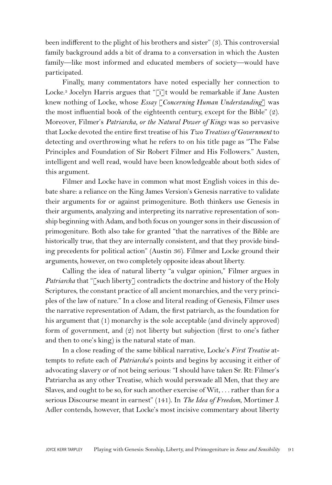been indifferent to the plight of his brothers and sister" (3). This controversial family background adds a bit of drama to a conversation in which the Austen family—like most informed and educated members of society—would have participated.

Finally, many commentators have noted especially her connection to Locke. <sup>3</sup> Jocelyn Harris argues that "[i]t would be remarkable if Jane Austen knew nothing of Locke, whose *Essay* [*Concerning Human Understanding*] was the most influential book of the eighteenth century, except for the Bible" (2). Moreover, Filmer's *Patriarcha, or the Natural Power of Kings* was so pervasive that Locke devoted the entire first treatise of his *Two Treatises of Government* to detecting and overthrowing what he refers to on his title page as "The False Principles and Foundation of Sir Robert Filmer and His Followers." Austen, intelligent and well read, would have been knowledgeable about both sides of this argument.

Filmer and Locke have in common what most English voices in this debate share: a reliance on the King James Version's Genesis narrative to validate their arguments for or against primogeniture. Both thinkers use Genesis in their arguments, analyzing and interpreting its narrative representation of sonship beginning with Adam, and both focus on younger sons in their discussion of primogeniture. Both also take for granted "that the narratives of the Bible are historically true, that they are internally consistent, and that they provide binding precedents for political action" (Austin 36). Filmer and Locke ground their arguments, however, on two completely opposite ideas about liberty.

Calling the idea of natural liberty "a vulgar opinion," Filmer argues in *Patriarcha* that "[such liberty] contradicts the doctrine and history of the Holy Scriptures, the constant practice of all ancient monarchies, and the very principles of the law of nature." In a close and literal reading of Genesis, Filmer uses the narrative representation of Adam, the first patriarch, as the foundation for his argument that (1) monarchy is the sole acceptable (and divinely approved) form of government, and (2) not liberty but subjection (first to one's father and then to one's king) is the natural state of man.

In a close reading of the same biblical narrative, Locke's *First Treatise* attempts to refute each of *Patriarcha*'s points and begins by accusing it either of advocating slavery or of not being serious: "I should have taken Sr. Rt: Filmer's Patriarcha as any other Treatise, which would perswade all Men, that they are Slaves, and ought to be so, for such another exercise of Wit, . . . rather than for a serious Discourse meant in earnest" (141). In *The Idea of Freedom*, Mortimer J. Adler contends, however, that Locke's most incisive commentary about liberty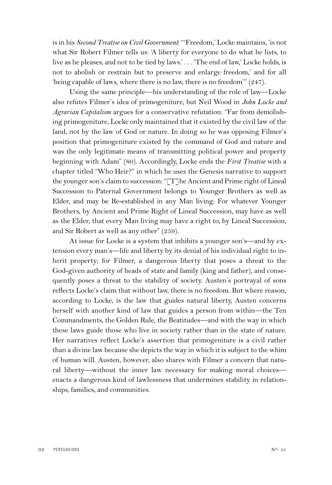is in his *Second Treatise on Civil Government*: "'Freedom,' Locke maintains, 'is not what Sir Robert Filmer tells us: 'A liberty for everyone to do what he lists, to live as he pleases, and not to be tied by laws.' . . . 'The end of law,' Locke holds, is not to abolish or restrain but to preserve and enlarge freedom,' and for all 'being capable of laws, where there is no law, there is no freedom'" (247).

Using the same principle—his understanding of the role of law—Locke also refutes Filmer's idea of primogeniture, but Neil Wood in *John Locke and Agrarian Capitalism* argues for a conservative refutation: "Far from demolishing primogeniture, Locke only maintained that it existed by the civil law of the land, not by the law of God or nature. In doing so he was opposing Filmer's position that primogeniture existed by the command of God and nature and was the only legitimate means of transmitting political power and property beginning with Adam" (80). Accordingly, Locke ends the *First Treatise* with a chapter titled "Who Heir?" in which he uses the Genesis narrative to support the younger son's claim to succession: "[T]he Ancient and Prime right of Lineal Succession to Paternal Government belongs to Younger Brothers as well as Elder, and may be Re-established in any Man living: For whatever Younger Brothers, by Ancient and Prime Right of Lineal Succession, may have as well as the Elder, that every Man living may have a right to, by Lineal Succession, and Sir Robert as well as any other" (259).

At issue for Locke is a system that inhibits a younger son's—and by extension every man's—life and liberty by its denial of his individual right to inherit property; for Filmer, a dangerous liberty that poses a threat to the God-given authority of heads of state and family (king and father), and consequently poses a threat to the stability of society. Austen's portrayal of sons reflects Locke's claim that without law, there is no freedom. But where reason, according to Locke, is the law that guides natural liberty, Austen concerns herself with another kind of law that guides a person from within—the Ten Commandments, the Golden Rule, the Beatitudes—and with the way in which these laws guide those who live in society rather than in the state of nature. Her narratives reflect Locke's assertion that primogeniture is a civil rather than a divine law because she depicts the way in which it is subject to the whim of human will. Austen, however, also shares with Filmer a concern that natural liberty—without the inner law necessary for making moral choices enacts a dangerous kind of lawlessness that undermines stability in relationships, families, and communities.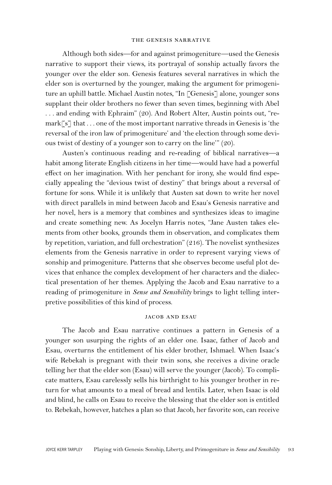## THE GENESIS NARRATIVE

Although both sides—for and against primogeniture—used the Genesis narrative to support their views, its portrayal of sonship actually favors the younger over the elder son. Genesis features several narratives in which the elder son is overturned by the younger, making the argument for primogeniture an uphill battle. Michael Austin notes, "In [Genesis] alone, younger sons supplant their older brothers no fewer than seven times, beginning with Abel . . . and ending with Ephraim" (20). And Robert Alter, Austin points out, "re $mark[**s**]$  that ... one of the most important narrative threads in Genesis is 'the reversal of the iron law of primogeniture' and 'the election through some devious twist of destiny of a younger son to carry on the line'" (20).

Austen's continuous reading and re-reading of biblical narratives—a habit among literate English citizens in her time—would have had a powerful effect on her imagination. With her penchant for irony, she would find especially appealing the "devious twist of destiny" that brings about a reversal of fortune for sons. While it is unlikely that Austen sat down to write her novel with direct parallels in mind between Jacob and Esau's Genesis narrative and her novel, hers is a memory that combines and synthesizes ideas to imagine and create something new. As Jocelyn Harris notes, "Jane Austen takes elements from other books, grounds them in observation, and complicates them by repetition, variation, and full orchestration" (216). The novelist synthesizes elements from the Genesis narrative in order to represent varying views of sonship and primogeniture. Patterns that she observes become useful plot devices that enhance the complex development of her characters and the dialectical presentation of her themes. Applying the Jacob and Esau narrative to a reading of primogeniture in *Sense and Sensibility* brings to light telling interpretive possibilities of this kind of process.

## **JACOB AND ESAU**

The Jacob and Esau narrative continues a pattern in Genesis of a younger son usurping the rights of an elder one. Isaac, father of Jacob and Esau, overturns the entitlement of his elder brother, Ishmael. When Isaac's wife Rebekah is pregnant with their twin sons, she receives a divine oracle telling her that the elder son (Esau) will serve the younger (Jacob). To complicate matters, Esau carelessly sells his birthright to his younger brother in return for what amounts to a meal of bread and lentils. Later, when Isaac is old and blind, he calls on Esau to receive the blessing that the elder son is entitled to. Rebekah, however, hatches a plan so that Jacob, her favorite son, can receive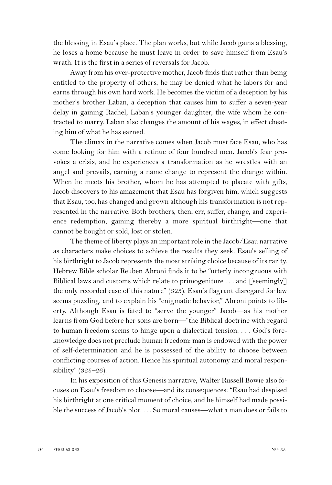the blessing in Esau's place. The plan works, but while Jacob gains a blessing, he loses a home because he must leave in order to save himself from Esau's wrath. It is the first in a series of reversals for Jacob.

Away from his over-protective mother, Jacob finds that rather than being entitled to the property of others, he may be denied what he labors for and earns through his own hard work. He becomes the victim of a deception by his mother's brother Laban, a deception that causes him to suffer a seven-year delay in gaining Rachel, Laban's younger daughter, the wife whom he contracted to marry. Laban also changes the amount of his wages, in effect cheating him of what he has earned.

The climax in the narrative comes when Jacob must face Esau, who has come looking for him with a retinue of four hundred men. Jacob's fear provokes a crisis, and he experiences a transformation as he wrestles with an angel and prevails, earning a name change to represent the change within. When he meets his brother, whom he has attempted to placate with gifts, Jacob discovers to his amazement that Esau has forgiven him, which suggests that Esau, too, has changed and grown although his transformation is not represented in the narrative. Both brothers, then, err, suffer, change, and experience redemption, gaining thereby a more spiritual birthright—one that cannot be bought or sold, lost or stolen.

The theme of liberty plays an important role in the Jacob/Esau narrative as characters make choices to achieve the results they seek. Esau's selling of his birthright to Jacob represents the most striking choice because of its rarity. Hebrew Bible scholar Reuben Ahroni finds it to be "utterly incongruous with Biblical laws and customs which relate to primogeniture . . . and [seemingly] the only recorded case of this nature" (323). Esau's flagrant disregard for law seems puzzling, and to explain his "enigmatic behavior," Ahroni points to liberty. Although Esau is fated to "serve the younger" Jacob—as his mother learns from God before her sons are born—"the Biblical doctrine with regard to human freedom seems to hinge upon a dialectical tension. . . . God's foreknowledge does not preclude human freedom: man is endowed with the power of self-determination and he is possessed of the ability to choose between conflicting courses of action. Hence his spiritual autonomy and moral responsibility" (325–26).

In his exposition of this Genesis narrative, Walter Russell Bowie also focuses on Esau's freedom to choose—and its consequences: "Esau had despised his birthright at one critical moment of choice, and he himself had made possible the success of Jacob's plot. . . . So moral causes—what a man does or fails to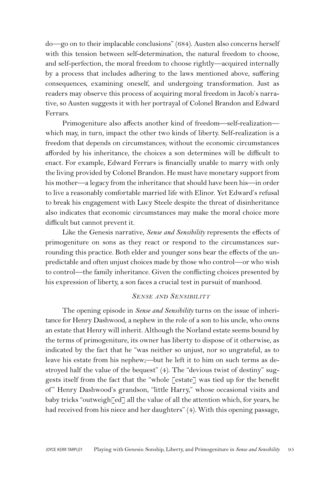do—go on to their implacable conclusions" (684). Austen also concerns herself with this tension between self-determination, the natural freedom to choose, and self-perfection, the moral freedom to choose rightly—acquired internally by a process that includes adhering to the laws mentioned above, suffering consequences, examining oneself, and undergoing transformation. Just as readers may observe this process of acquiring moral freedom in Jacob's narrative, so Austen suggests it with her portrayal of Colonel Brandon and Edward Ferrars.

Primogeniture also affects another kind of freedom—self-realization which may, in turn, impact the other two kinds of liberty. Self-realization is a freedom that depends on circumstances; without the economic circumstances afforded by his inheritance, the choices a son determines will be difficult to enact. For example, Edward Ferrars is financially unable to marry with only the living provided by Colonel Brandon. He must have monetary support from his mother—a legacy from the inheritance that should have been his—in order to live a reasonably comfortable married life with Elinor. Yet Edward's refusal to break his engagement with Lucy Steele despite the threat of disinheritance also indicates that economic circumstances may make the moral choice more difficult but cannot prevent it.

Like the Genesis narrative, *Sense and Sensibility* represents the effects of primogeniture on sons as they react or respond to the circumstances surrounding this practice. Both elder and younger sons bear the effects of the unpredictable and often unjust choices made by those who control—or who wish to control—the family inheritance. Given the conflicting choices presented by his expression of liberty, a son faces a crucial test in pursuit of manhood.

# *SENSE AND SENSIBILITY*

The opening episode in *Sense and Sensibility* turns on the issue of inheritance for Henry Dashwood, a nephew in the role of a son to his uncle, who owns an estate that Henry will inherit. Although the Norland estate seems bound by the terms of primogeniture, its owner has liberty to dispose of it otherwise, as indicated by the fact that he "was neither so unjust, nor so ungrateful, as to leave his estate from his nephew;—but he left it to him on such terms as destroyed half the value of the bequest" (4). The "devious twist of destiny" suggests itself from the fact that the "whole [estate] was tied up for the benefit of" Henry Dashwood's grandson, "little Harry," whose occasional visits and baby tricks "outweigh<sup>[ed]</sup> all the value of all the attention which, for years, he had received from his niece and her daughters" (4). With this opening passage,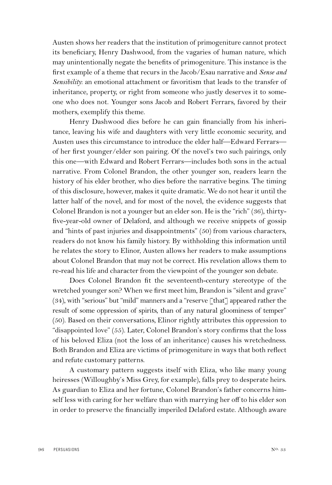Austen shows her readers that the institution of primogeniture cannot protect its beneficiary, Henry Dashwood, from the vagaries of human nature, which may unintentionally negate the benefits of primogeniture. This instance is the first example of a theme that recurs in the Jacob/Esau narrative and *Sense and Sensibility*: an emotional attachment or favoritism that leads to the transfer of inheritance, property, or right from someone who justly deserves it to someone who does not. Younger sons Jacob and Robert Ferrars, favored by their mothers, exemplify this theme.

Henry Dashwood dies before he can gain financially from his inheritance, leaving his wife and daughters with very little economic security, and Austen uses this circumstance to introduce the elder half—Edward Ferrars of her first younger/elder son pairing. Of the novel's two such pairings, only this one—with Edward and Robert Ferrars—includes both sons in the actual narrative. From Colonel Brandon, the other younger son, readers learn the history of his elder brother, who dies before the narrative begins. The timing of this disclosure, however, makes it quite dramatic. We do not hear it until the latter half of the novel, and for most of the novel, the evidence suggests that Colonel Brandon is not a younger but an elder son. He is the "rich" (36), thirtyfive-year-old owner of Delaford, and although we receive snippets of gossip and "hints of past injuries and disappointments" (50) from various characters, readers do not know his family history. By withholding this information until he relates the story to Elinor, Austen allows her readers to make assumptions about Colonel Brandon that may not be correct. His revelation allows them to re-read his life and character from the viewpoint of the younger son debate.

Does Colonel Brandon fit the seventeenth-century stereotype of the wretched younger son? When we first meet him, Brandon is "silent and grave"  $(34)$ , with "serious" but "mild" manners and a "reserve  $\lceil \text{that} \rceil$  appeared rather the result of some oppression of spirits, than of any natural gloominess of temper" (50). Based on their conversations, Elinor rightly attributes this oppression to "disappointed love" (55). Later, Colonel Brandon's story confirms that the loss of his beloved Eliza (not the loss of an inheritance) causes his wretchedness. Both Brandon and Eliza are victims of primogeniture in ways that both reflect and refute customary patterns.

A customary pattern suggests itself with Eliza, who like many young heiresses (Willoughby's Miss Grey, for example), falls prey to desperate heirs. As guardian to Eliza and her fortune, Colonel Brandon's father concerns himself less with caring for her welfare than with marrying her off to his elder son in order to preserve the financially imperiled Delaford estate. Although aware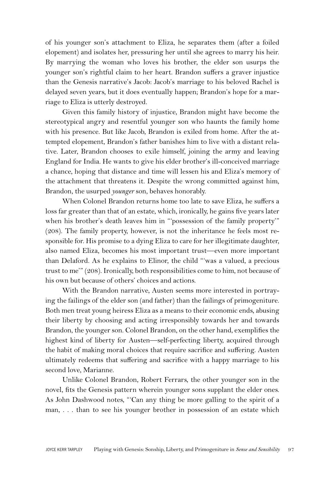of his younger son's attachment to Eliza, he separates them (after a foiled elopement) and isolates her, pressuring her until she agrees to marry his heir. By marrying the woman who loves his brother, the elder son usurps the younger son's rightful claim to her heart. Brandon suffers a graver injustice than the Genesis narrative's Jacob: Jacob's marriage to his beloved Rachel is delayed seven years, but it does eventually happen; Brandon's hope for a marriage to Eliza is utterly destroyed.

Given this family history of injustice, Brandon might have become the stereotypical angry and resentful younger son who haunts the family home with his presence. But like Jacob, Brandon is exiled from home. After the attempted elopement, Brandon's father banishes him to live with a distant relative. Later, Brandon chooses to exile himself, joining the army and leaving England for India. He wants to give his elder brother's ill-conceived marriage a chance, hoping that distance and time will lessen his and Eliza's memory of the attachment that threatens it. Despite the wrong committed against him, Brandon, the usurped *younger* son, behaves honorably.

When Colonel Brandon returns home too late to save Eliza, he suffers a loss far greater than that of an estate, which, ironically, he gains five years later when his brother's death leaves him in "'possession of the family property'" (208). The family property, however, is not the inheritance he feels most responsible for. His promise to a dying Eliza to care for her illegitimate daughter, also named Eliza, becomes his most important trust—even more important than Delaford. As he explains to Elinor, the child "'was a valued, a precious trust to me'" (208). Ironically, both responsibilities come to him, not because of his own but because of others' choices and actions.

With the Brandon narrative, Austen seems more interested in portraying the failings of the elder son (and father) than the failings of primogeniture. Both men treat young heiress Eliza as a means to their economic ends, abusing their liberty by choosing and acting irresponsibly towards her and towards Brandon, the younger son. Colonel Brandon, on the other hand, exemplifies the highest kind of liberty for Austen—self-perfecting liberty, acquired through the habit of making moral choices that require sacrifice and suffering. Austen ultimately redeems that suffering and sacrifice with a happy marriage to his second love, Marianne.

Unlike Colonel Brandon, Robert Ferrars, the other younger son in the novel, fits the Genesis pattern wherein younger sons supplant the elder ones. As John Dashwood notes, "'Can any thing be more galling to the spirit of a man, . . . than to see his younger brother in possession of an estate which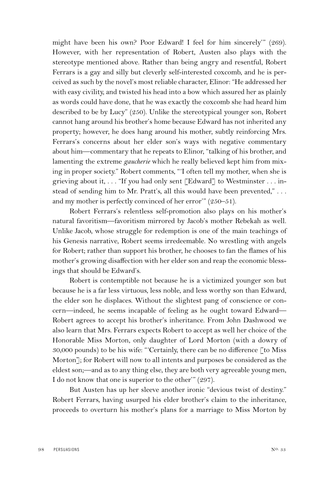might have been his own? Poor Edward! I feel for him sincerely'" (269). However, with her representation of Robert, Austen also plays with the stereotype mentioned above. Rather than being angry and resentful, Robert Ferrars is a gay and silly but cleverly self-interested coxcomb, and he is perceived as such by the novel's most reliable character, Elinor: "He addressed her with easy civility, and twisted his head into a bow which assured her as plainly as words could have done, that he was exactly the coxcomb she had heard him described to be by Lucy" (250). Unlike the stereotypical younger son, Robert cannot hang around his brother's home because Edward has not inherited any property; however, he does hang around his mother, subtly reinforcing Mrs. Ferrars's concerns about her elder son's ways with negative commentary about him—commentary that he repeats to Elinor, "talking of his brother, and lamenting the extreme *gaucherie* which he really believed kept him from mixing in proper society." Robert comments, "'I often tell my mother, when she is grieving about it, . . . "If you had only sent [Edward] to Westminster . . . instead of sending him to Mr. Pratt's, all this would have been prevented," . . . and my mother is perfectly convinced of her error'" (250–51).

Robert Ferrars's relentless self-promotion also plays on his mother's natural favoritism—favoritism mirrored by Jacob's mother Rebekah as well. Unlike Jacob, whose struggle for redemption is one of the main teachings of his Genesis narrative, Robert seems irredeemable. No wrestling with angels for Robert; rather than support his brother, he chooses to fan the flames of his mother's growing disaffection with her elder son and reap the economic blessings that should be Edward's.

Robert is contemptible not because he is a victimized younger son but because he is a far less virtuous, less noble, and less worthy son than Edward, the elder son he displaces. Without the slightest pang of conscience or concern—indeed, he seems incapable of feeling as he ought toward Edward— Robert agrees to accept his brother's inheritance. From John Dashwood we also learn that Mrs. Ferrars expects Robert to accept as well her choice of the Honorable Miss Morton, only daughter of Lord Morton (with a dowry of 30,000 pounds) to be his wife: "'Certainly, there can be no difference [to Miss Morton]; for Robert will now to all intents and purposes be considered as the eldest son;—and as to any thing else, they are both very agreeable young men, I do not know that one is superior to the other'" (297).

But Austen has up her sleeve another ironic "devious twist of destiny." Robert Ferrars, having usurped his elder brother's claim to the inheritance, proceeds to overturn his mother's plans for a marriage to Miss Morton by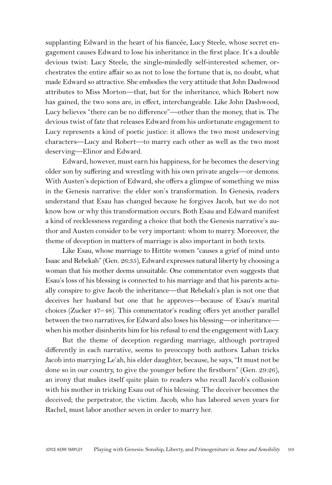supplanting Edward in the heart of his fiancée, Lucy Steele, whose secret engagement causes Edward to lose his inheritance in the first place. It's a double devious twist: Lucy Steele, the single-mindedly self-interested schemer, orchestrates the entire affair so as not to lose the fortune that is, no doubt, what made Edward so attractive. She embodies the very attitude that John Dashwood attributes to Miss Morton—that, but for the inheritance, which Robert now has gained, the two sons are, in effect, interchangeable. Like John Dashwood, Lucy believes "there can be no difference"—other than the money, that is. The devious twist of fate that releases Edward from his unfortunate engagement to Lucy represents a kind of poetic justice: it allows the two most undeserving characters—Lucy and Robert—to marry each other as well as the two most deserving—Elinor and Edward.

Edward, however, must earn his happiness, for he becomes the deserving older son by suffering and wrestling with his own private angels—or demons. With Austen's depiction of Edward, she offers a glimpse of something we miss in the Genesis narrative: the elder son's transformation. In Genesis, readers understand that Esau has changed because he forgives Jacob, but we do not know how or why this transformation occurs. Both Esau and Edward manifest a kind of recklessness regarding a choice that both the Genesis narrative's author and Austen consider to be very important: whom to marry. Moreover, the theme of deception in matters of marriage is also important in both texts.

Like Esau, whose marriage to Hittite women "causes a grief of mind unto Isaac and Rebekah" (Gen. 26:35), Edward expresses natural liberty by choosing a woman that his mother deems unsuitable. One commentator even suggests that Esau's loss of his blessing is connected to his marriage and that his parents actually conspire to give Jacob the inheritance—that Rebekah's plan is not one that deceives her husband but one that he approves—because of Esau's marital choices (Zucker 47–48). This commentator's reading offers yet another parallel between the two narratives, for Edward also loses his blessing—or inheritance when his mother disinherits him for his refusal to end the engagement with Lucy.

But the theme of deception regarding marriage, although portrayed differently in each narrative, seems to preoccupy both authors. Laban tricks Jacob into marrying Le'ah, his elder daughter, because, he says, "It must not be done so in our country, to give the younger before the firstborn" (Gen. 29:26), an irony that makes itself quite plain to readers who recall Jacob's collusion with his mother in tricking Esau out of his blessing. The deceiver becomes the deceived; the perpetrator, the victim. Jacob, who has labored seven years for Rachel, must labor another seven in order to marry her.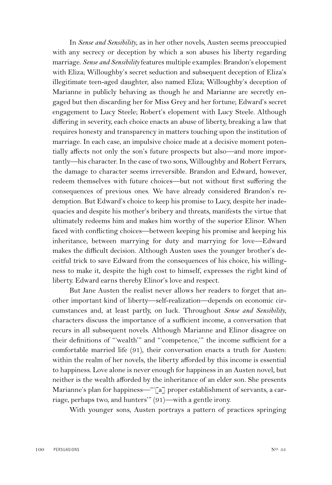In *Sense and Sensibility*, as in her other novels, Austen seems preoccupied with any secrecy or deception by which a son abuses his liberty regarding marriage. *Sense and Sensibility* features multiple examples: Brandon's elopement with Eliza; Willoughby's secret seduction and subsequent deception of Eliza's illegitimate teen-aged daughter, also named Eliza; Willoughby's deception of Marianne in publicly behaving as though he and Marianne are secretly engaged but then discarding her for Miss Grey and her fortune; Edward's secret engagement to Lucy Steele; Robert's elopement with Lucy Steele. Although differing in severity, each choice enacts an abuse of liberty, breaking a law that requires honesty and transparency in matters touching upon the institution of marriage. In each case, an impulsive choice made at a decisive moment potentially affects not only the son's future prospects but also—and more importantly—his character. In the case of two sons, Willoughby and Robert Ferrars, the damage to character seems irreversible. Brandon and Edward, however, redeem themselves with future choices—but not without first suffering the consequences of previous ones. We have already considered Brandon's redemption. But Edward's choice to keep his promise to Lucy, despite her inadequacies and despite his mother's bribery and threats, manifests the virtue that ultimately redeems him and makes him worthy of the superior Elinor. When faced with conflicting choices—between keeping his promise and keeping his inheritance, between marrying for duty and marrying for love—Edward makes the difficult decision. Although Austen uses the younger brother's deceitful trick to save Edward from the consequences of his choice, his willingness to make it, despite the high cost to himself, expresses the right kind of liberty. Edward earns thereby Elinor's love and respect.

But Jane Austen the realist never allows her readers to forget that another important kind of liberty—self-realization—depends on economic circumstances and, at least partly, on luck. Throughout *Sense and Sensibility*, characters discuss the importance of a sufficient income, a conversation that recurs in all subsequent novels. Although Marianne and Elinor disagree on their definitions of "'wealth'" and "'competence,'" the income sufficient for a comfortable married life (91), their conversation enacts a truth for Austen: within the realm of her novels, the liberty afforded by this income is essential to happiness. Love alone is never enough for happiness in an Austen novel, but neither is the wealth afforded by the inheritance of an elder son. She presents Marianne's plan for happiness—"[a] proper establishment of servants, a carriage, perhaps two, and hunters'" (91)—with a gentle irony.

With younger sons, Austen portrays a pattern of practices springing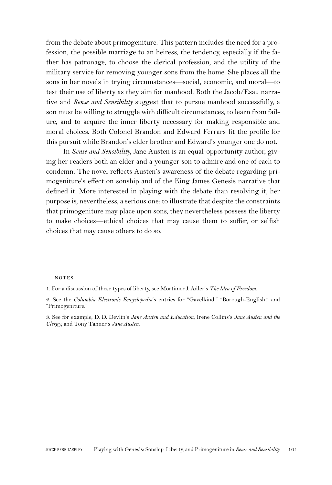from the debate about primogeniture. This pattern includes the need for a profession, the possible marriage to an heiress, the tendency, especially if the father has patronage, to choose the clerical profession, and the utility of the military service for removing younger sons from the home. She places all the sons in her novels in trying circumstances—social, economic, and moral—to test their use of liberty as they aim for manhood. Both the Jacob/Esau narrative and *Sense and Sensibility* suggest that to pursue manhood successfully, a son must be willing to struggle with difficult circumstances, to learn from failure, and to acquire the inner liberty necessary for making responsible and moral choices. Both Colonel Brandon and Edward Ferrars fit the profile for this pursuit while Brandon's elder brother and Edward's younger one do not.

In *Sense and Sensibility*, Jane Austen is an equal-opportunity author, giving her readers both an elder and a younger son to admire and one of each to condemn. The novel reflects Austen's awareness of the debate regarding primogeniture's effect on sonship and of the King James Genesis narrative that defined it. More interested in playing with the debate than resolving it, her purpose is, nevertheless, a serious one: to illustrate that despite the constraints that primogeniture may place upon sons, they nevertheless possess the liberty to make choices—ethical choices that may cause them to suffer, or selfish choices that may cause others to do so.

#### **NOTES**

1. For a discussion of these types of liberty, see Mortimer J. Adler's *The Idea of Freedom*.

2. See the *Columbia Electronic Encyclopedia*'s entries for "Gavelkind," "Borough-English," and "Primogeniture."

3. See for example, D. D. Devlin's *Jane Austen and Education*, Irene Collins's *Jane Austen and the Clergy*, and Tony Tanner's *Jane Austen*.